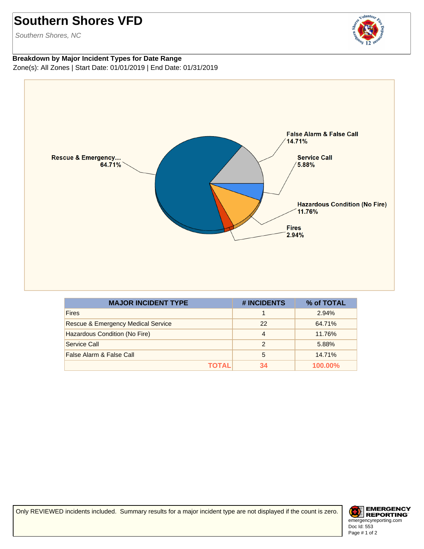## **Southern Shores VFD**

Southern Shores, NC

## volunteer

## **Breakdown by Major Incident Types for Date Range** Zone(s): All Zones | Start Date: 01/01/2019 | End Date: 01/31/2019



| <b>MAJOR INCIDENT TYPE</b>                    | # INCIDENTS   | % of TOTAL |
|-----------------------------------------------|---------------|------------|
| <b>Fires</b>                                  |               | 2.94%      |
| <b>Rescue &amp; Emergency Medical Service</b> | 22            | 64.71%     |
| Hazardous Condition (No Fire)                 | 4             | 11.76%     |
| Service Call                                  | $\mathcal{P}$ | 5.88%      |
| False Alarm & False Call                      | 5             | 14.71%     |
| ΤΟΤΑL                                         | 34            | 100.00%    |

Only REVIEWED incidents included. Summary results for a major incident type are not displayed if the count is zero.